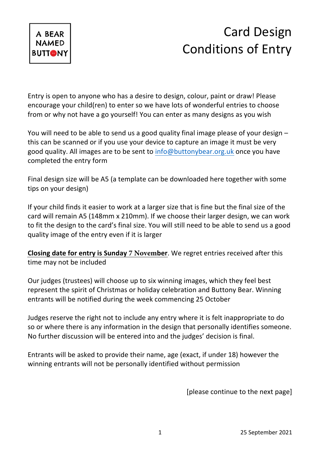

## Card Design Conditions of Entry

Entry is open to anyone who has a desire to design, colour, paint or draw! Please encourage your child(ren) to enter so we have lots of wonderful entries to choose from or why not have a go yourself! You can enter as many designs as you wish

You will need to be able to send us a good quality final image please of your design – this can be scanned or if you use your device to capture an image it must be very good quality. All images are to be sent to info@buttonybear.org.uk once you have completed the entry form

Final design size will be A5 (a template can be downloaded here together with some tips on your design)

If your child finds it easier to work at a larger size that is fine but the final size of the card will remain A5 (148mm x 210mm). If we choose their larger design, we can work to fit the design to the card's final size. You will still need to be able to send us a good quality image of the entry even if it is larger

**Closing date for entry is Sunday 7 November**. We regret entries received after this time may not be included

Our judges (trustees) will choose up to six winning images, which they feel best represent the spirit of Christmas or holiday celebration and Buttony Bear. Winning entrants will be notified during the week commencing 25 October

Judges reserve the right not to include any entry where it is felt inappropriate to do so or where there is any information in the design that personally identifies someone. No further discussion will be entered into and the judges' decision is final.

Entrants will be asked to provide their name, age (exact, if under 18) however the winning entrants will not be personally identified without permission

[please continue to the next page]